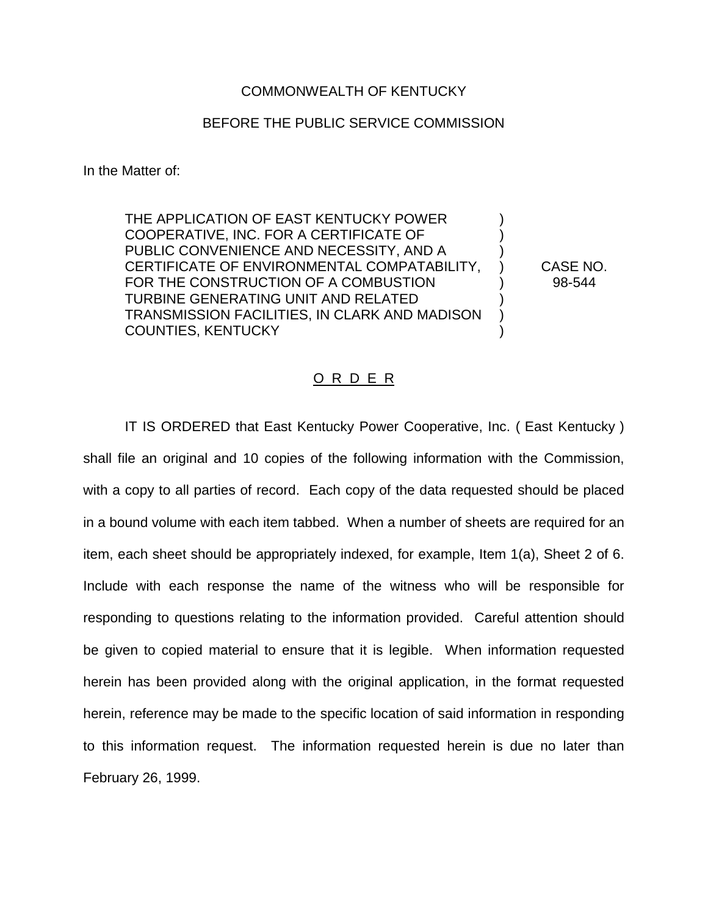## COMMONWEALTH OF KENTUCKY

## BEFORE THE PUBLIC SERVICE COMMISSION

In the Matter of:

THE APPLICATION OF EAST KENTUCKY POWER COOPERATIVE, INC. FOR A CERTIFICATE OF ) PUBLIC CONVENIENCE AND NECESSITY, AND A ) CERTIFICATE OF ENVIRONMENTAL COMPATABILITY, ) CASE NO. FOR THE CONSTRUCTION OF A COMBUSTION  $\vert$  (98-544 TURBINE GENERATING UNIT AND RELATED ) TRANSMISSION FACILITIES, IN CLARK AND MADISON ) COUNTIES, KENTUCKY )

## O R D E R

IT IS ORDERED that East Kentucky Power Cooperative, Inc. ( East Kentucky ) shall file an original and 10 copies of the following information with the Commission, with a copy to all parties of record. Each copy of the data requested should be placed in a bound volume with each item tabbed. When a number of sheets are required for an item, each sheet should be appropriately indexed, for example, Item 1(a), Sheet 2 of 6. Include with each response the name of the witness who will be responsible for responding to questions relating to the information provided. Careful attention should be given to copied material to ensure that it is legible. When information requested herein has been provided along with the original application, in the format requested herein, reference may be made to the specific location of said information in responding to this information request. The information requested herein is due no later than February 26, 1999.